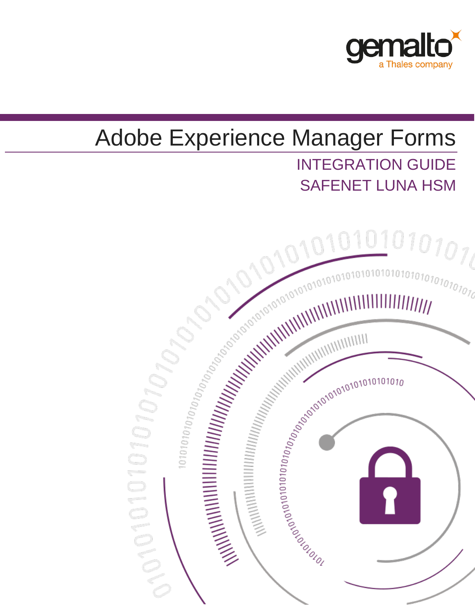

# Adobe Experience Manager Forms INTEGRATION GUIDE SAFENET LUNA HSM

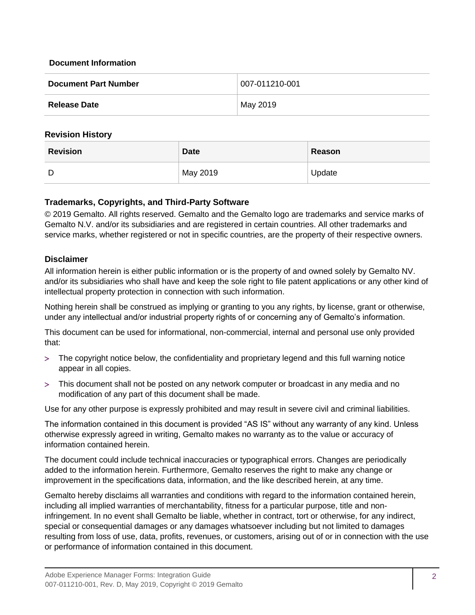#### **Document Information**

| <b>Document Part Number</b> | 007-011210-001 |
|-----------------------------|----------------|
| <b>Release Date</b>         | May 2019       |

#### **Revision History**

| <b>Revision</b> | <b>Date</b>           | Reason |
|-----------------|-----------------------|--------|
| D               | <sup>⊟</sup> May 2019 | Update |

#### **Trademarks, Copyrights, and Third-Party Software**

© 2019 Gemalto. All rights reserved. Gemalto and the Gemalto logo are trademarks and service marks of Gemalto N.V. and/or its subsidiaries and are registered in certain countries. All other trademarks and service marks, whether registered or not in specific countries, are the property of their respective owners.

### **Disclaimer**

All information herein is either public information or is the property of and owned solely by Gemalto NV. and/or its subsidiaries who shall have and keep the sole right to file patent applications or any other kind of intellectual property protection in connection with such information.

Nothing herein shall be construed as implying or granting to you any rights, by license, grant or otherwise, under any intellectual and/or industrial property rights of or concerning any of Gemalto's information.

This document can be used for informational, non-commercial, internal and personal use only provided that:

- The copyright notice below, the confidentiality and proprietary legend and this full warning notice appear in all copies.
- This document shall not be posted on any network computer or broadcast in any media and no modification of any part of this document shall be made.

Use for any other purpose is expressly prohibited and may result in severe civil and criminal liabilities.

The information contained in this document is provided "AS IS" without any warranty of any kind. Unless otherwise expressly agreed in writing, Gemalto makes no warranty as to the value or accuracy of information contained herein.

The document could include technical inaccuracies or typographical errors. Changes are periodically added to the information herein. Furthermore, Gemalto reserves the right to make any change or improvement in the specifications data, information, and the like described herein, at any time.

Gemalto hereby disclaims all warranties and conditions with regard to the information contained herein, including all implied warranties of merchantability, fitness for a particular purpose, title and noninfringement. In no event shall Gemalto be liable, whether in contract, tort or otherwise, for any indirect, special or consequential damages or any damages whatsoever including but not limited to damages resulting from loss of use, data, profits, revenues, or customers, arising out of or in connection with the use or performance of information contained in this document.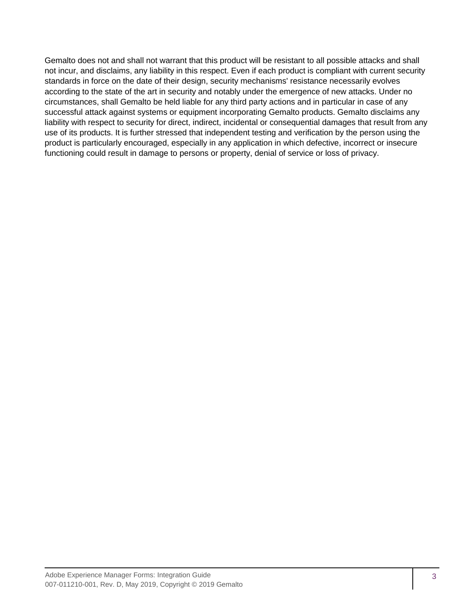Gemalto does not and shall not warrant that this product will be resistant to all possible attacks and shall not incur, and disclaims, any liability in this respect. Even if each product is compliant with current security standards in force on the date of their design, security mechanisms' resistance necessarily evolves according to the state of the art in security and notably under the emergence of new attacks. Under no circumstances, shall Gemalto be held liable for any third party actions and in particular in case of any successful attack against systems or equipment incorporating Gemalto products. Gemalto disclaims any liability with respect to security for direct, indirect, incidental or consequential damages that result from any use of its products. It is further stressed that independent testing and verification by the person using the product is particularly encouraged, especially in any application in which defective, incorrect or insecure functioning could result in damage to persons or property, denial of service or loss of privacy.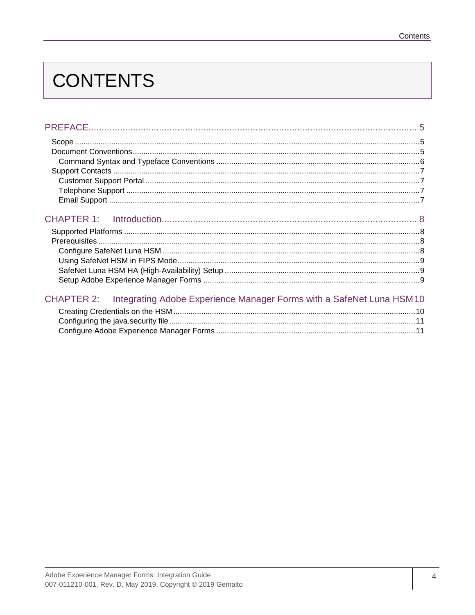# **CONTENTS**

| CHAPTER 2: Integrating Adobe Experience Manager Forms with a SafeNet Luna HSM10 |  |
|---------------------------------------------------------------------------------|--|
|                                                                                 |  |
|                                                                                 |  |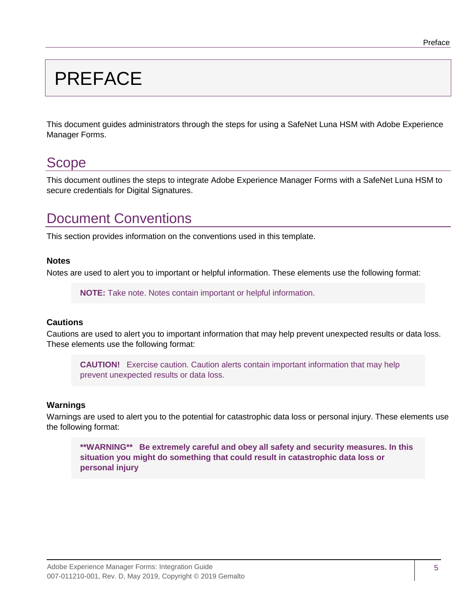# <span id="page-4-0"></span>PREFACE

This document guides administrators through the steps for using a SafeNet Luna HSM with Adobe Experience Manager Forms.

# <span id="page-4-1"></span>Scope

This document outlines the steps to integrate Adobe Experience Manager Forms with a SafeNet Luna HSM to secure credentials for Digital Signatures.

# <span id="page-4-2"></span>Document Conventions

This section provides information on the conventions used in this template.

### **Notes**

Notes are used to alert you to important or helpful information. These elements use the following format:

**NOTE:** Take note. Notes contain important or helpful information.

### **Cautions**

Cautions are used to alert you to important information that may help prevent unexpected results or data loss. These elements use the following format:

**CAUTION!** Exercise caution. Caution alerts contain important information that may help prevent unexpected results or data loss.

### **Warnings**

Warnings are used to alert you to the potential for catastrophic data loss or personal injury. These elements use the following format:

**\*\*WARNING\*\* Be extremely careful and obey all safety and security measures. In this situation you might do something that could result in catastrophic data loss or personal injury**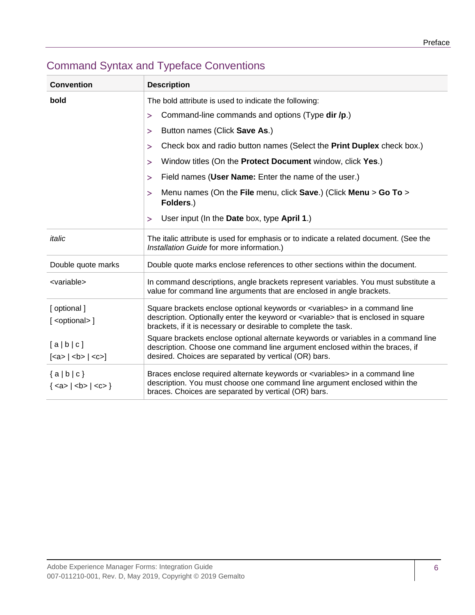| <b>Convention</b>                        | <b>Description</b>                                                                                                                                                                                                                                           |
|------------------------------------------|--------------------------------------------------------------------------------------------------------------------------------------------------------------------------------------------------------------------------------------------------------------|
| bold                                     | The bold attribute is used to indicate the following:                                                                                                                                                                                                        |
|                                          | Command-line commands and options (Type dir /p.)<br>$\geq$                                                                                                                                                                                                   |
|                                          | Button names (Click Save As.)<br>⋗                                                                                                                                                                                                                           |
|                                          | Check box and radio button names (Select the <b>Print Duplex</b> check box.)<br>⋗                                                                                                                                                                            |
|                                          | Window titles (On the Protect Document window, click Yes.)<br>>                                                                                                                                                                                              |
|                                          | Field names (User Name: Enter the name of the user.)<br>>                                                                                                                                                                                                    |
|                                          | Menu names (On the File menu, click Save.) (Click Menu > Go To ><br>⋗<br>Folders.)                                                                                                                                                                           |
|                                          | User input (In the Date box, type April 1.)<br>$\geq$                                                                                                                                                                                                        |
| italic                                   | The italic attribute is used for emphasis or to indicate a related document. (See the<br>Installation Guide for more information.)                                                                                                                           |
| Double quote marks                       | Double quote marks enclose references to other sections within the document.                                                                                                                                                                                 |
| <variable></variable>                    | In command descriptions, angle brackets represent variables. You must substitute a<br>value for command line arguments that are enclosed in angle brackets.                                                                                                  |
| [ optional ]<br>[ <optional>]</optional> | Square brackets enclose optional keywords or <variables> in a command line<br/>description. Optionally enter the keyword or <variable> that is enclosed in square<br/>brackets, if it is necessary or desirable to complete the task.</variable></variables> |
| [a b c]<br>$[ca> $ < b > $ $ < c > $]$   | Square brackets enclose optional alternate keywords or variables in a command line<br>description. Choose one command line argument enclosed within the braces, if<br>desired. Choices are separated by vertical (OR) bars.                                  |
| ${a b c}$<br>${ <a>   <b>   <c>}$        | Braces enclose required alternate keywords or <variables> in a command line<br/>description. You must choose one command line argument enclosed within the<br/>braces. Choices are separated by vertical (OR) bars.</variables>                              |

# <span id="page-5-0"></span>Command Syntax and Typeface Conventions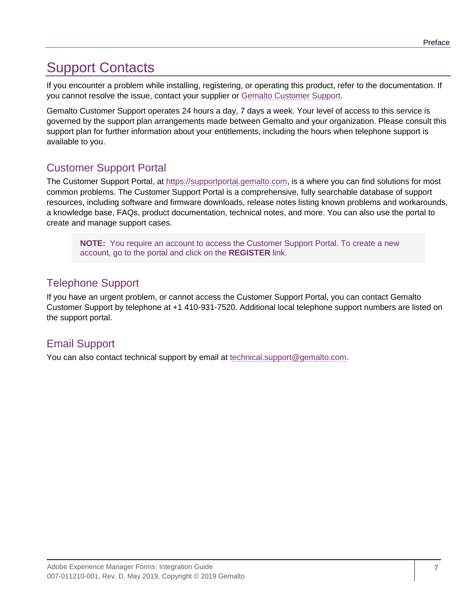# <span id="page-6-0"></span>Support Contacts

If you encounter a problem while installing, registering, or operating this product, refer to the documentation. If you cannot resolve the issue, contact your supplier or [Gemalto Customer Support.](https://supportportal.gemalto.com/)

Gemalto Customer Support operates 24 hours a day, 7 days a week. Your level of access to this service is governed by the support plan arrangements made between Gemalto and your organization. Please consult this support plan for further information about your entitlements, including the hours when telephone support is available to you.

# <span id="page-6-1"></span>Customer Support Portal

The Customer Support Portal, at [https://supportportal.gemalto.com,](https://supportportal.gemalto.com/) is a where you can find solutions for most common problems. The Customer Support Portal is a comprehensive, fully searchable database of support resources, including software and firmware downloads, release notes listing known problems and workarounds, a knowledge base, FAQs, product documentation, technical notes, and more. You can also use the portal to create and manage support cases.

**NOTE:** You require an account to access the Customer Support Portal. To create a new account, go to the portal and click on the **REGISTER** link.

# <span id="page-6-2"></span>Telephone Support

If you have an urgent problem, or cannot access the Customer Support Portal, you can contact Gemalto Customer Support by telephone at +1 410-931-7520. Additional local telephone support numbers are listed on the support portal.

# <span id="page-6-3"></span>Email Support

You can also contact technical support by email at [technical.support@gemalto.com.](mailto:technical.support@gemalto.com)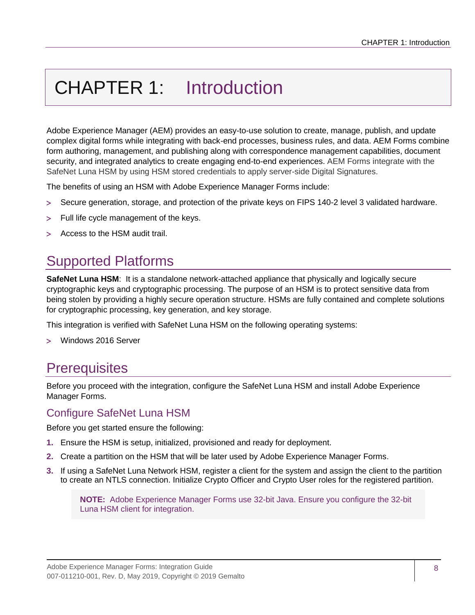# <span id="page-7-0"></span>CHAPTER 1: Introduction

Adobe Experience Manager (AEM) provides an easy-to-use solution to create, manage, publish, and update complex digital forms while integrating with back-end processes, business rules, and data. AEM Forms combine form authoring, management, and publishing along with correspondence management capabilities, document security, and integrated analytics to create engaging end-to-end experiences. AEM Forms integrate with the SafeNet Luna HSM by using HSM stored credentials to apply server-side Digital Signatures.

The benefits of using an HSM with Adobe Experience Manager Forms include:

- Secure generation, storage, and protection of the private keys on FIPS 140-2 level 3 validated hardware.
- Full life cycle management of the keys.
- Access to the HSM audit trail.

# <span id="page-7-1"></span>Supported Platforms

**SafeNet Luna HSM:** It is a standalone network-attached appliance that physically and logically secure cryptographic keys and cryptographic processing. The purpose of an HSM is to protect sensitive data from being stolen by providing a highly secure operation structure. HSMs are fully contained and complete solutions for cryptographic processing, key generation, and key storage.

This integration is verified with SafeNet Luna HSM on the following operating systems:

Windows 2016 Server

# <span id="page-7-2"></span>**Prerequisites**

Before you proceed with the integration, configure the SafeNet Luna HSM and install Adobe Experience Manager Forms.

## <span id="page-7-3"></span>Configure SafeNet Luna HSM

Before you get started ensure the following:

- **1.** Ensure the HSM is setup, initialized, provisioned and ready for deployment.
- **2.** Create a partition on the HSM that will be later used by Adobe Experience Manager Forms.
- **3.** If using a SafeNet Luna Network HSM, register a client for the system and assign the client to the partition to create an NTLS connection. Initialize Crypto Officer and Crypto User roles for the registered partition.

**NOTE:** Adobe Experience Manager Forms use 32-bit Java. Ensure you configure the 32-bit Luna HSM client for integration.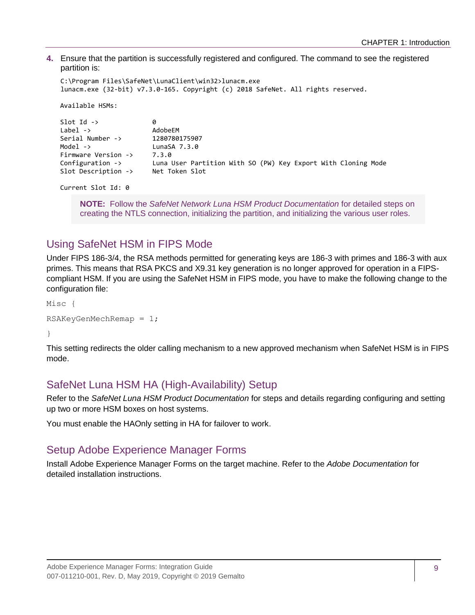**4.** Ensure that the partition is successfully registered and configured. The command to see the registered partition is:

```
C:\Program Files\SafeNet\LunaClient\win32>lunacm.exe
lunacm.exe (32-bit) v7.3.0-165. Copyright (c) 2018 SafeNet. All rights reserved.
 Available HSMs:
Slot Id \rightarrow 0
 Label -> AdobeEM
 Serial Number -> 1280780175907
 Model -> LunaSA 7.3.0
Firmware Version -> 7.3.0
 Configuration -> Luna User Partition With SO (PW) Key Export With Cloning Mode
 Slot Description -> Net Token Slot
```

```
 Current Slot Id: 0
```
**NOTE:** Follow the *SafeNet Network Luna HSM Product Documentation* for detailed steps on creating the NTLS connection, initializing the partition, and initializing the various user roles.

# <span id="page-8-0"></span>Using SafeNet HSM in FIPS Mode

Under FIPS 186-3/4, the RSA methods permitted for generating keys are 186-3 with primes and 186-3 with aux primes. This means that RSA PKCS and X9.31 key generation is no longer approved for operation in a FIPScompliant HSM. If you are using the SafeNet HSM in FIPS mode, you have to make the following change to the configuration file:

Misc {

```
RSAKeyGenMechRemap = 1;
```
}

This setting redirects the older calling mechanism to a new approved mechanism when SafeNet HSM is in FIPS mode.

# <span id="page-8-1"></span>SafeNet Luna HSM HA (High-Availability) Setup

Refer to the *SafeNet Luna HSM Product Documentation* for steps and details regarding configuring and setting up two or more HSM boxes on host systems.

You must enable the HAOnly setting in HA for failover to work.

## <span id="page-8-2"></span>Setup Adobe Experience Manager Forms

Install Adobe Experience Manager Forms on the target machine. Refer to the *Adobe Documentation* for detailed installation instructions.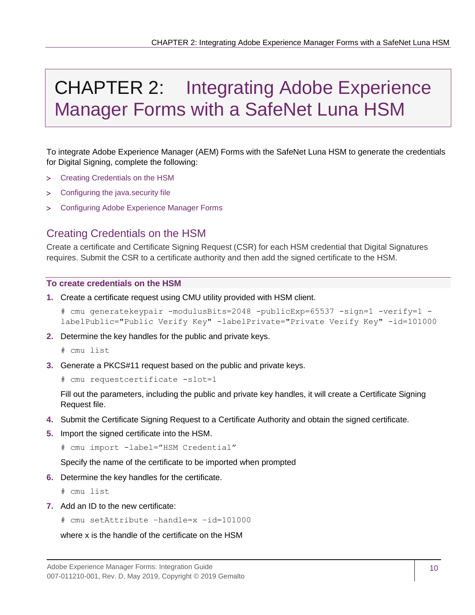# <span id="page-9-0"></span>CHAPTER 2: Integrating Adobe Experience Manager Forms with a SafeNet Luna HSM

To integrate Adobe Experience Manager (AEM) Forms with the SafeNet Luna HSM to generate the credentials for Digital Signing, complete the following:

- [Creating Credentials on the HSM](#page-9-1)
- [Configuring the java.security file](#page-10-0)
- [Configuring Adobe Experience Manager Forms](#page-10-1)

## <span id="page-9-1"></span>Creating Credentials on the HSM

Create a certificate and Certificate Signing Request (CSR) for each HSM credential that Digital Signatures requires. Submit the CSR to a certificate authority and then add the signed certificate to the HSM.

### **To create credentials on the HSM**

**1.** Create a certificate request using CMU utility provided with HSM client.

```
# cmu generatekeypair -modulusBits=2048 -publicExp=65537 -sign=1 -verify=1 -
labelPublic="Public Verify Key" -labelPrivate="Private Verify Key" -id=101000
```
- **2.** Determine the key handles for the public and private keys.
	- # cmu list
- **3.** Generate a PKCS#11 request based on the public and private keys.

# cmu requestcertificate -slot=1

Fill out the parameters, including the public and private key handles, it will create a Certificate Signing Request file.

- **4.** Submit the Certificate Signing Request to a Certificate Authority and obtain the signed certificate.
- **5.** Import the signed certificate into the HSM.

```
# cmu import -label="HSM Credential"
```
Specify the name of the certificate to be imported when prompted

**6.** Determine the key handles for the certificate.

# cmu list

**7.** Add an ID to the new certificate:

```
# cmu setAttribute –handle=x –id=101000
```
where x is the handle of the certificate on the HSM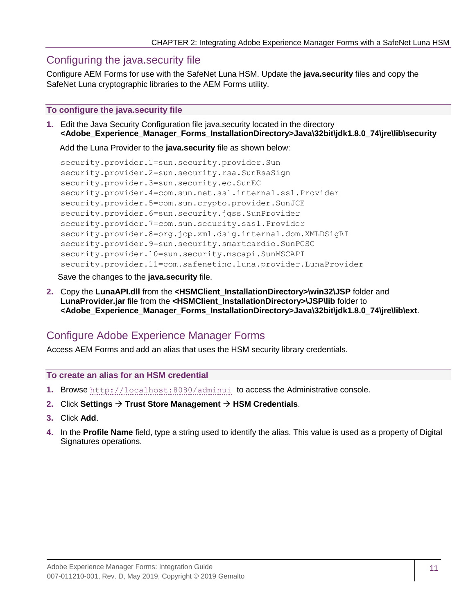## <span id="page-10-0"></span>Configuring the java.security file

Configure AEM Forms for use with the SafeNet Luna HSM. Update the **java.security** files and copy the SafeNet Luna cryptographic libraries to the AEM Forms utility.

### **To configure the java.security file**

**1.** Edit the Java Security Configuration file java.security located in the directory **<Adobe\_Experience\_Manager\_Forms\_InstallationDirectory>Java\32bit\jdk1.8.0\_74\jre\lib\security**

Add the Luna Provider to the **java.security** file as shown below:

```
security.provider.1=sun.security.provider.Sun
security.provider.2=sun.security.rsa.SunRsaSign
security.provider.3=sun.security.ec.SunEC
security.provider.4=com.sun.net.ssl.internal.ssl.Provider
security.provider.5=com.sun.crypto.provider.SunJCE
security.provider.6=sun.security.jgss.SunProvider
security.provider.7=com.sun.security.sasl.Provider
security.provider.8=org.jcp.xml.dsig.internal.dom.XMLDSigRI
security.provider.9=sun.security.smartcardio.SunPCSC
security.provider.10=sun.security.mscapi.SunMSCAPI
security.provider.11=com.safenetinc.luna.provider.LunaProvider
```
Save the changes to the **java.security** file.

**2.** Copy the **LunaAPI.dll** from the **<HSMClient\_InstallationDirectory>\win32\JSP** folder and **LunaProvider.jar** file from the **<HSMClient\_InstallationDirectory>\JSP\lib** folder to **<Adobe\_Experience\_Manager\_Forms\_InstallationDirectory>Java\32bit\jdk1.8.0\_74\jre\lib\ext**.

# <span id="page-10-1"></span>Configure Adobe Experience Manager Forms

Access AEM Forms and add an alias that uses the HSM security library credentials.

### **To create an alias for an HSM credential**

- **1.** Browse <http://localhost:8080/adminui> to access the Administrative console.
- **2.** Click **Settings Trust Store Management HSM Credentials**.
- **3.** Click **Add**.
- **4.** In the **Profile Name** field, type a string used to identify the alias. This value is used as a property of Digital Signatures operations.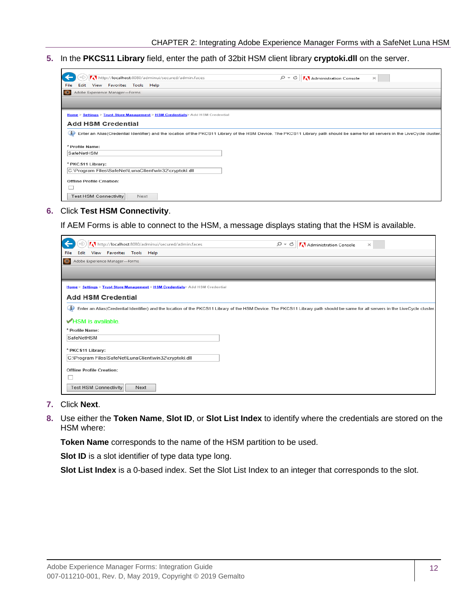**5.** In the **PKCS11 Library** field, enter the path of 32bit HSM client library **cryptoki.dll** on the server.

| http://localhost:8080/adminui/secured/admin.faces                                                                                                                                     | - م<br>C | Administration Console | $\! \times$ |
|---------------------------------------------------------------------------------------------------------------------------------------------------------------------------------------|----------|------------------------|-------------|
| View Favorites Tools Help<br>File<br>Edit                                                                                                                                             |          |                        |             |
| Adobe Experience Manager-Forms<br>$\bullet$                                                                                                                                           |          |                        |             |
|                                                                                                                                                                                       |          |                        |             |
|                                                                                                                                                                                       |          |                        |             |
| Home > Settings > Trust Store Management > HSM Credentials > Add HSM Credential                                                                                                       |          |                        |             |
| <b>Add HSM Credential</b>                                                                                                                                                             |          |                        |             |
|                                                                                                                                                                                       |          |                        |             |
| Enter an Alias(Credential Identifier) and the location of the PKCS11 Library of the HSM Device. The PKCS11 Library path should be same for all servers in the LiveCycle cluster.<br>w |          |                        |             |
|                                                                                                                                                                                       |          |                        |             |
| * Profile Name:                                                                                                                                                                       |          |                        |             |
| SafeNetHSM                                                                                                                                                                            |          |                        |             |
|                                                                                                                                                                                       |          |                        |             |
| * PKC S11 Library:                                                                                                                                                                    |          |                        |             |
| C:\Program Files\SafeNet\LunaClient\win32\cryptoki.dll                                                                                                                                |          |                        |             |
| <b>Offline Profile Creation:</b>                                                                                                                                                      |          |                        |             |
|                                                                                                                                                                                       |          |                        |             |
|                                                                                                                                                                                       |          |                        |             |
| <b>Test HSM Connectivity</b><br>Next                                                                                                                                                  |          |                        |             |

#### **6.** Click **Test HSM Connectivity**.

If AEM Forms is able to connect to the HSM, a message displays stating that the HSM is available.

| http://localhost:8080/adminui/secured/admin.faces                                                                                                                                     | $Q - Q$ | Administration Console | $\times$ |
|---------------------------------------------------------------------------------------------------------------------------------------------------------------------------------------|---------|------------------------|----------|
| View Favorites Tools Help<br>File<br>Edit                                                                                                                                             |         |                        |          |
| Adobe Experience Manager-Forms<br>$\circ$                                                                                                                                             |         |                        |          |
|                                                                                                                                                                                       |         |                        |          |
|                                                                                                                                                                                       |         |                        |          |
| Home > Settings > Trust Store Management > HSM Credentials> Add HSM Credential                                                                                                        |         |                        |          |
| <b>Add HSM Credential</b>                                                                                                                                                             |         |                        |          |
| Φ<br>Enter an Alias(Credential Identifier) and the location of the PKCS11 Library of the HSM Device. The PKCS11 Library path should be same for all servers in the LiveCycle cluster. |         |                        |          |
| $\blacktriangleright$ HSM is available.                                                                                                                                               |         |                        |          |
|                                                                                                                                                                                       |         |                        |          |
| * Profile Name:                                                                                                                                                                       |         |                        |          |
| SafeNetHSM                                                                                                                                                                            |         |                        |          |
| * PKC \$11 Library:                                                                                                                                                                   |         |                        |          |
| C:\Program Files\SafeNet\LunaClient\win32\cryptoki.dll                                                                                                                                |         |                        |          |
| <b>Offline Profile Creation:</b>                                                                                                                                                      |         |                        |          |
|                                                                                                                                                                                       |         |                        |          |
|                                                                                                                                                                                       |         |                        |          |
| <b>Test HSM Connectivity</b><br>Next                                                                                                                                                  |         |                        |          |

- **7.** Click **Next**.
- **8.** Use either the **Token Name**, **Slot ID**, or **Slot List Index** to identify where the credentials are stored on the HSM where:

**Token Name** corresponds to the name of the HSM partition to be used.

**Slot ID** is a slot identifier of type data type long.

**Slot List Index** is a 0-based index. Set the Slot List Index to an integer that corresponds to the slot.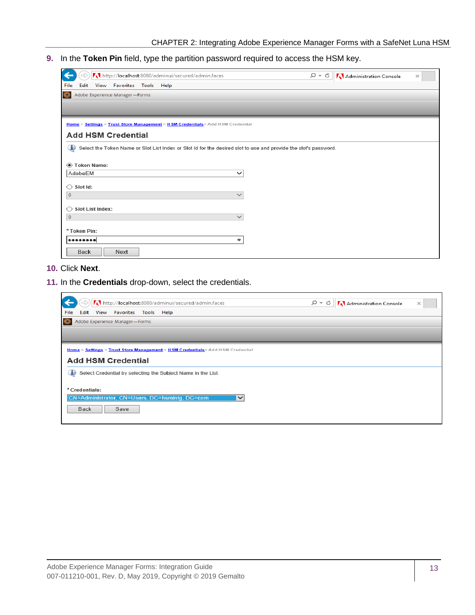**9.** In the **Token Pin** field, type the partition password required to access the HSM key.

| $\Rightarrow$<br>http://localhost:8080/adminui/secured/admin.faces                                                    | Administration Console<br>$\circ$ - $\circ$<br>$\times$ |
|-----------------------------------------------------------------------------------------------------------------------|---------------------------------------------------------|
| View Favorites Tools Help<br>File<br>Edit                                                                             |                                                         |
| Adobe Experience Manager-Forms<br>$\circ$                                                                             |                                                         |
|                                                                                                                       |                                                         |
|                                                                                                                       |                                                         |
| Home > Settings > Trust Store Management > HSM Credentials> Add HSM Credential                                        |                                                         |
| <b>Add HSM Credential</b>                                                                                             |                                                         |
|                                                                                                                       |                                                         |
| O<br>Select the Token Name or Slot List Index or Slot Id for the desired slot to use and provide the slot's password. |                                                         |
| Token Name:                                                                                                           |                                                         |
| AdobeEM<br>$\checkmark$                                                                                               |                                                         |
|                                                                                                                       |                                                         |
| Slot Id:<br>∩                                                                                                         |                                                         |
| $\checkmark$<br>$\mathbf 0$                                                                                           |                                                         |
| <b>Slot List Index:</b><br>Ω                                                                                          |                                                         |
| $\mathbf{0}$<br>$\checkmark$                                                                                          |                                                         |
|                                                                                                                       |                                                         |
| *Token Pin:                                                                                                           |                                                         |
| ۰                                                                                                                     |                                                         |
| Back<br>Next                                                                                                          |                                                         |

### **10.** Click **Next**.

**11.** In the **Credentials** drop-down, select the credentials.

| http://localhost:8080/adminui/secured/admin.faces                              | - م<br>Administration Console<br>€<br>$\! \times$ |  |
|--------------------------------------------------------------------------------|---------------------------------------------------|--|
| Edit View Favorites Tools Help<br>File                                         |                                                   |  |
| $\bullet$<br>Adobe Experience Manager-Forms                                    |                                                   |  |
|                                                                                |                                                   |  |
|                                                                                |                                                   |  |
| Home > Settings > Trust Store Management > HSM Credentials> Add HSM Credential |                                                   |  |
| <b>Add HSM Credential</b>                                                      |                                                   |  |
| Select Credential by selecting the Subject Name in the List.<br>Œ              |                                                   |  |
|                                                                                |                                                   |  |
| * Credentials:                                                                 |                                                   |  |
| CN=Administrator, CN=Users, DC=hsmintq, DC=com                                 |                                                   |  |
| Save<br>Back                                                                   |                                                   |  |
|                                                                                |                                                   |  |